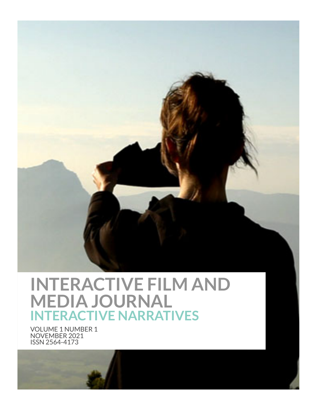

# **INTERACTIVE FILM AND MEDIA JOURNAL INTERACTIVE NARRATIVES**

VOLUME 1 NUMBER 1 NOVEMBER 2021 ISSN 2564-4173

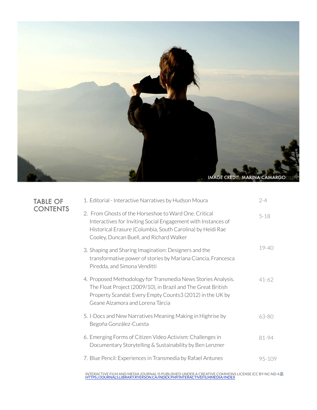

TABLE OF **CONTENTS** 

| 1. Editorial - Interactive Narratives by Hudson Moura                                                                                                                                                                            | $2 - 4$   |
|----------------------------------------------------------------------------------------------------------------------------------------------------------------------------------------------------------------------------------|-----------|
| 2. From Ghosts of the Horseshoe to Ward One. Critical<br>Interactives for Inviting Social Engagement with Instances of<br>Historical Erasure (Columbia, South Carolina) by Heidi Rae<br>Cooley, Duncan Buell, and Richard Walker | $5 - 18$  |
| 3. Shaping and Sharing Imagination: Designers and the<br>transformative power of stories by Mariana Ciancia, Francesca<br>Piredda, and Simona Venditti                                                                           | 19-40     |
| 4. Proposed Methodology for Transmedia News Stories Analysis.<br>The Float Project (2009/10), in Brazil and The Great British<br>Property Scandal: Every Empty Counts3 (2012) in the UK by<br>Geane Alzamora and Lorena Tárcia   | $41 - 62$ |
| 5. I-Docs and New Narratives Meaning Making in Highrise by<br>Begoña González-Cuesta                                                                                                                                             | 63-80     |
| 6. Emerging Forms of Citizen Video Activism: Challenges in<br>Documentary Storytelling & Sustainability by Ben Lenzner                                                                                                           | $81 - 94$ |
| 7. Blue Pencil: Experiences in Transmedia by Rafael Antunes                                                                                                                                                                      | 95-109    |

INTERACTIVE FILM AND MEDIA JOURNAL IS PUBLISHED UNDER A CREATIVE COMMONS LICENSE (CC BY-NC-ND 4.<mark>0</mark>).<br>HTTPS://JOURNALS.LIBRARY.RYERSON.CA/INDEX.PHP/INTERACTIVEFILMMEDIA/INDEX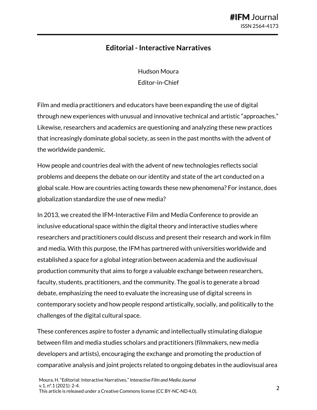## **Editorial - Interactive Narratives**

Hudson Moura Editor-in-Chief

Film and media practitioners and educators have been expanding the use of digital through new experiences with unusual and innovative technical and artistic "approaches." Likewise, researchers and academics are questioning and analyzing these new practices that increasingly dominate global society, as seen in the past months with the advent of the worldwide pandemic.

How people and countries deal with the advent of new technologies reflects social problems and deepens the debate on our identity and state of the art conducted on a global scale. How are countries acting towards these new phenomena? For instance, does globalization standardize the use of new media?

In 2013, we created the IFM-Interactive Film and Media Conference to provide an inclusive educational space within the digital theory and interactive studies where researchers and practitioners could discuss and present their research and work in film and media. With this purpose, the IFM has partnered with universities worldwide and established a space for a global integration between academia and the audiovisual production community that aims to forge a valuable exchange between researchers, faculty, students, practitioners, and the community. The goal is to generate a broad debate, emphasizing the need to evaluate the increasing use of digital screens in contemporary society and how people respond artistically, socially, and politically to the challenges of the digital cultural space.

These conferences aspire to foster a dynamic and intellectually stimulating dialogue between film and media studies scholars and practitioners (filmmakers, new media developers and artists), encouraging the exchange and promoting the production of comparative analysis and joint projects related to ongoing debates in the audiovisual area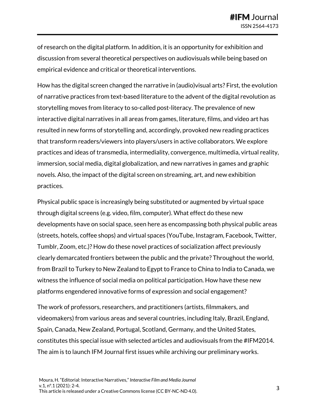of research on the digital platform. In addition, it is an opportunity for exhibition and discussion from several theoretical perspectives on audiovisuals while being based on empirical evidence and critical or theoretical interventions.

How has the digital screen changed the narrative in (audio)visual arts? First, the evolution of narrative practices from text-based literature to the advent of the digital revolution as storytelling moves from literacy to so-called post-literacy. The prevalence of new interactive digital narratives in all areas from games, literature, films, and video art has resulted in new forms of storytelling and, accordingly, provoked new reading practices that transform readers/viewers into players/users in active collaborators. We explore practices and ideas of transmedia, intermediality, convergence, multimedia, virtual reality, immersion, social media, digital globalization, and new narratives in games and graphic novels. Also, the impact of the digital screen on streaming, art, and new exhibition practices.

Physical public space is increasingly being substituted or augmented by virtual space through digital screens (e.g. video, film, computer). What effect do these new developments have on social space, seen here as encompassing both physical public areas (streets, hotels, coffee shops) and virtual spaces (YouTube, Instagram, Facebook, Twitter, Tumblr, Zoom, etc.)? How do these novel practices of socialization affect previously clearly demarcated frontiers between the public and the private? Throughout the world, from Brazil to Turkey to New Zealand to Egypt to France to China to India to Canada, we witness the influence of social media on political participation. How have these new platforms engendered innovative forms of expression and social engagement?

The work of professors, researchers, and practitioners (artists, filmmakers, and videomakers) from various areas and several countries, including Italy, Brazil, England, Spain, Canada, New Zealand, Portugal, Scotland, Germany, and the United States, constitutes this special issue with selected articles and audiovisuals from the #IFM2014. The aim is to launch IFM Journal first issues while archiving our preliminary works.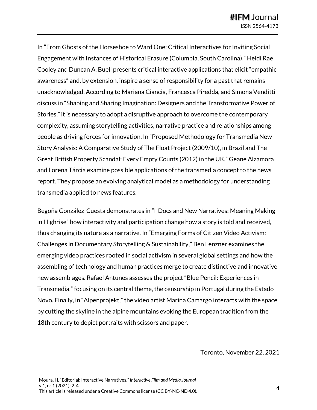In **"**From Ghosts of the Horseshoe to Ward One: Critical Interactives for Inviting Social Engagement with Instances of Historical Erasure (Columbia, South Carolina)," Heidi Rae Cooley and Duncan A. Buell presents critical interactive applications that elicit "empathic awareness" and, by extension, inspire a sense of responsibility for a past that remains unacknowledged. According to Mariana Ciancia, Francesca Piredda, and Simona Venditti discuss in "Shaping and Sharing Imagination: Designers and the Transformative Power of Stories," it is necessary to adopt a disruptive approach to overcome the contemporary complexity, assuming storytelling activities, narrative practice and relationships among people as driving forces for innovation. In "Proposed Methodology for Transmedia New Story Analysis: A Comparative Study of The Float Project (2009/10), in Brazil and The Great British Property Scandal: Every Empty Counts (2012) in the UK," Geane Alzamora and Lorena Tárcia examine possible applications of the transmedia concept to the news report. They propose an evolving analytical model as a methodology for understanding transmedia applied to news features.

Begoña González-Cuesta demonstrates in "I-Docs and New Narratives: Meaning Making in Highrise" how interactivity and participation change how a story is told and received, thus changing its nature as a narrative. In "Emerging Forms of Citizen Video Activism: Challenges in Documentary Storytelling & Sustainability," Ben Lenzner examines the emerging video practices rooted in social activism in several global settings and how the assembling of technology and human practices merge to create distinctive and innovative new assemblages. Rafael Antunes assesses the project "Blue Pencil: Experiences in Transmedia," focusing on its central theme, the censorship in Portugal during the Estado Novo. Finally, in "Alpenprojekt," the video artist Marina Camargo interacts with the space by cutting the skyline in the alpine mountains evoking the European tradition from the 18th century to depict portraits with scissors and paper.

Toronto, November 22, 2021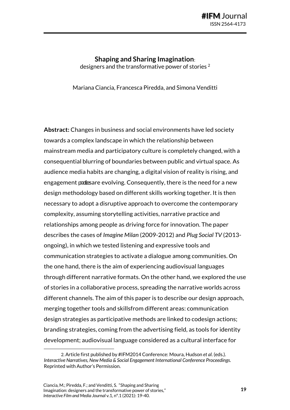### **Shaping and Sharing Imagination**:

designers and the transformative power of stories 2

Mariana Ciancia, Francesca Piredda, and Simona Venditti

**Abstract:** Changes in business and social environments have led society towards a complex landscape in which the relationship between mainstream media and participatory culture is completely changed, with a consequential blurring of boundaries between public and virtual space. As audience media habits are changing, a digital vision of reality is rising, and engagement parties are evolving. Consequently, there is the need for a new design methodology based on different skills working together. It is then necessary to adopt a disruptive approach to overcome the contemporary complexity, assuming storytelling activities, narrative practice and relationships among people as driving force for innovation. The paper describes the cases of *Imagine Milan* (2009-2012) and *Plug Social TV* (2013 ongoing), in which we tested listening and expressive tools and communication strategies to activate a dialogue among communities. On the one hand, there is the aim of experiencing audiovisual languages through different narrative formats. On the other hand, we explored the use of stories in a collaborative process, spreading the narrative worlds across different channels. The aim of this paper is to describe our design approach, merging together tools and skillsfrom different areas: communication design strategies as participative methods are linked to codesign actions; branding strategies, coming from the advertising field, as tools for identity development; audiovisual language considered as a cultural interface for

<sup>2.</sup> Article first published by #IFM2014 Conference: Moura, Hudson *et al*. (eds.). *Interactive Narratives, New Media & Social Engagement International Conference Proceedings.* Reprinted with Author's Permission.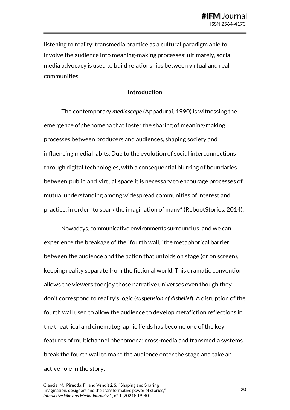listening to reality; transmedia practice as a cultural paradigm able to involve the audience into meaning-making processes; ultimately, social media advocacy is used to build relationships between virtual and real communities.

#### **Introduction**

The contemporary *mediascape* (Appadurai, 1990) is witnessing the emergence ofphenomena that foster the sharing of meaning-making processes between producers and audiences, shaping society and influencing media habits. Due to the evolution of social interconnections through digital technologies, with a consequential blurring of boundaries between public and virtual space,it is necessary to encourage processes of mutual understanding among widespread communities of interest and practice, in order "to spark the imagination of many" (RebootStories, 2014).

Nowadays, communicative environments surround us, and we can experience the breakage of the "fourth wall," the metaphorical barrier between the audience and the action that unfolds on stage (or on screen), keeping reality separate from the fictional world. This dramatic convention allows the viewers toenjoy those narrative universes even though they don't correspond to reality's logic (*suspension of disbelief*). A disruption of the fourth wall used to allow the audience to develop metafiction reflections in the theatrical and cinematographic fields has become one of the key features of multichannel phenomena: cross-media and transmedia systems break the fourth wall to make the audience enter the stage and take an active role in the story.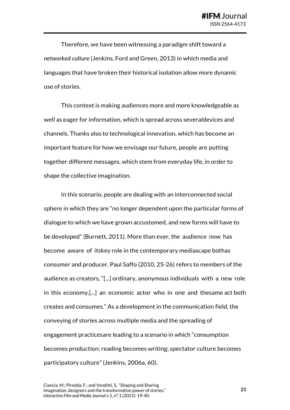Therefore, we have been witnessing a paradigm shift toward a *networked culture* (Jenkins, Ford and Green, 2013) in which media and languages that have broken their historical isolation allow more dynamic use of stories.

This context is making audiences more and more knowledgeable as well as eager for information, which is spread across severaldevices and channels. Thanks also to technological innovation, which has become an important feature for how we envisage our future, people are putting together different messages, which stem from everyday life, in order to shape the collective imagination.

In this scenario, people are dealing with an interconnected social sphere in which they are "no longer dependent upon the particular forms of dialogue to which we have grown accustomed, and new forms will have to be developed" (Burnett, 2011). More than ever, the audience now has become aware of itskey role in the contemporary mediascape bothas consumer and producer. Paul Saffo (2010, 25-26) refers to members of the audience as creators, "[...] ordinary, anonymous individuals with a new role in this economy.[...] an economic actor who in one and thesame act both creates and consumes." As a development in the communication field, the conveying of stories across multiple media and the spreading of engagement practicesare leading to a scenario in which "consumption becomes production; reading becomes writing; spectator culture becomes participatory culture" (Jenkins, 2006a, 60).

**21**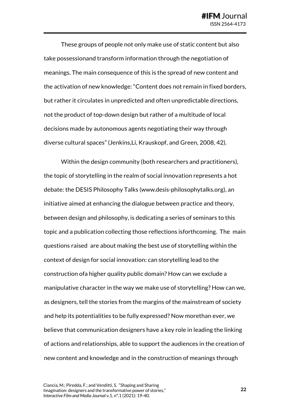These groups of people not only make use of static content but also take possessionand transform information through the negotiation of meanings. The main consequence of this is the spread of new content and the activation of new knowledge: "Content does not remain in fixed borders, but rather it circulates in unpredicted and often unpredictable directions, not the product of top-down design but rather of a multitude of local decisions made by autonomous agents negotiating their way through diverse cultural spaces" (Jenkins,Li, Krauskopf, and Green, 2008, 42).

Within the design community (both researchers and practitioners), the topic of storytelling in the realm of social innovation represents a hot debate: the DESIS Philosophy Talks (www.desis-philosophytalks.org), an initiative aimed at enhancing the dialogue between practice and theory, between design and philosophy, is dedicating a series of seminars to this topic and a publication collecting those reflections isforthcoming. The main questions raised are about making the best use of storytelling within the context of design for social innovation: can storytelling lead to the construction ofa higher quality public domain? How can we exclude a manipulative character in the way we make use of storytelling? How can we, as designers, tell the stories from the margins of the mainstream of society and help its potentialities to be fully expressed? Now morethan ever, we believe that communication designers have a key role in leading the linking of actions and relationships, able to support the audiences in the creation of new content and knowledge and in the construction of meanings through

**22**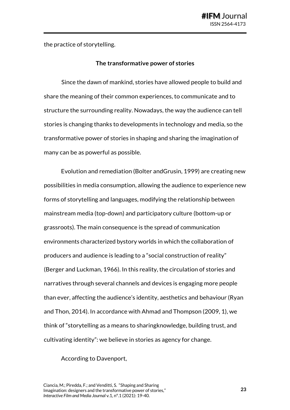the practice of storytelling.

#### **The transformative power of stories**

Since the dawn of mankind, stories have allowed people to build and share the meaning of their common experiences, to communicate and to structure the surrounding reality. Nowadays, the way the audience can tell stories is changing thanks to developments in technology and media, so the transformative power of stories in shaping and sharing the imagination of many can be as powerful as possible.

Evolution and remediation (Bolter andGrusin, 1999) are creating new possibilities in media consumption, allowing the audience to experience new forms of storytelling and languages, modifying the relationship between mainstream media (top-down) and participatory culture (bottom-up or grassroots). The main consequence is the spread of communication environments characterized bystory worlds in which the collaboration of producers and audience is leading to a "social construction of reality" (Berger and Luckman, 1966). In this reality, the circulation of stories and narratives through several channels and devices is engaging more people than ever, affecting the audience's identity, aesthetics and behaviour (Ryan and Thon, 2014). In accordance with Ahmad and Thompson (2009, 1), we think of "storytelling as a means to sharingknowledge, building trust, and cultivating identity": we believe in stories as agency for change.

#### According to Davenport,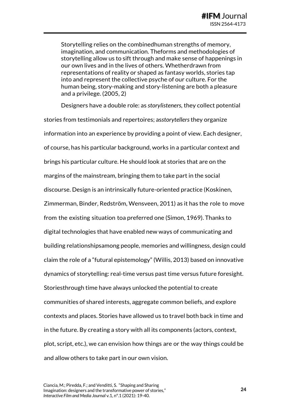Storytelling relies on the combinedhuman strengths of memory, imagination, and communication. Theforms and methodologies of storytelling allow us to sift through and make sense of happenings in our own lives and in the lives of others. Whetherdrawn from representations of reality or shaped as fantasy worlds, stories tap into and represent the collective psyche of our culture. For the human being, story-making and story-listening are both a pleasure and a privilege. (2005, 2)

Designers have a double role: as *storylisteners,* they collect potential stories from testimonials and repertoires; as*storytellers* they organize information into an experience by providing a point of view. Each designer, of course, has his particular background, works in a particular context and brings his particular culture. He should look at stories that are on the margins of the mainstream, bringing them to take part in the social discourse. Design is an intrinsically future-oriented practice (Koskinen, Zimmerman, Binder, Redström, Wensveen, 2011) as it has the role to move from the existing situation toa preferred one (Simon, 1969). Thanks to digital technologies that have enabled new ways of communicating and building relationshipsamong people, memories and willingness, design could claim the role of a "futural epistemology" (Willis, 2013) based on innovative dynamics of storytelling: real-time versus past time versus future foresight. Storiesthrough time have always unlocked the potential to create communities of shared interests, aggregate common beliefs, and explore contexts and places. Stories have allowed us to travel both back in time and in the future. By creating a story with all its components (actors, context, plot, script, etc.), we can envision how things are or the way things could be and allow others to take part in our own vision.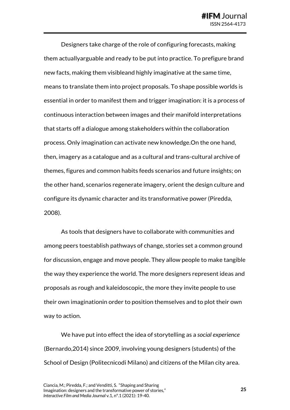Designers take charge of the role of configuring forecasts, making them actuallyarguable and ready to be put into practice. To prefigure brand new facts, making them visibleand highly imaginative at the same time, means to translate them into project proposals. To shape possible worlds is essential in order to manifest them and trigger imagination: it is a process of continuous interaction between images and their manifold interpretations that starts off a dialogue among stakeholders within the collaboration process. Only imagination can activate new knowledge.On the one hand, then, imagery as a catalogue and as a cultural and trans-cultural archive of themes, figures and common habits feeds scenarios and future insights; on the other hand, scenarios regenerate imagery, orient the design culture and configure its dynamic character and its transformative power (Piredda, 2008).

As tools that designers have to collaborate with communities and among peers toestablish pathways of change, stories set a common ground for discussion, engage and move people. They allow people to make tangible the way they experience the world. The more designers represent ideas and proposals as rough and kaleidoscopic, the more they invite people to use their own imaginationin order to position themselves and to plot their own way to action.

We have put into effect the idea of storytelling as a *social experience* (Bernardo,2014) since 2009, involving young designers (students) of the School of Design (Politecnicodi Milano) and citizens of the Milan city area.

**25**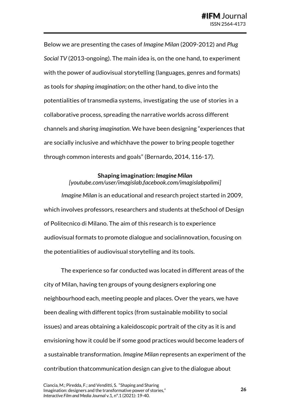Below we are presenting the cases of *Imagine Milan* (2009-2012) and *Plug Social TV* (2013-ongoing). The main idea is, on the one hand, to experiment with the power of audiovisual storytelling (languages, genres and formats) as tools for *shaping imagination*; on the other hand, to dive into the potentialities of transmedia systems, investigating the use of stories in a collaborative process, spreading the narrative worlds across different channels and *sharing imagination*. We have been designing "experiences that are socially inclusive and whichhave the power to bring people together through common interests and goals" (Bernardo, 2014, 116-17).

#### **Shaping imagination:** *Imagine Milan*

*[youtube.com/user/imagislab,facebook.com/imagislabpolimi]*

*Imagine Milan* is an educational and research project started in 2009, which involves professors, researchers and students at theSchool of Design of Politecnico di Milano. The aim of this research is to experience audiovisual formats to promote dialogue and socialinnovation, focusing on the potentialities of audiovisual storytelling and its tools.

The experience so far conducted was located in different areas of the city of Milan, having ten groups of young designers exploring one neighbourhood each, meeting people and places. Over the years, we have been dealing with different topics (from sustainable mobility to social issues) and areas obtaining a kaleidoscopic portrait of the city as it is and envisioning how it could be if some good practices would become leaders of a sustainable transformation. *Imagine Milan* represents an experiment of the contribution thatcommunication design can give to the dialogue about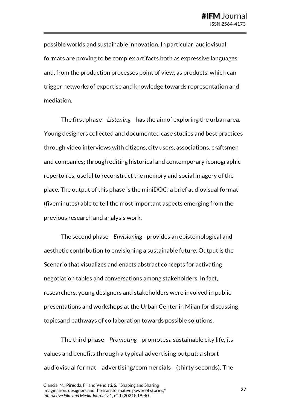possible worlds and sustainable innovation. In particular, audiovisual formats are proving to be complex artifacts both as expressive languages and, from the production processes point of view, as products, which can trigger networks of expertise and knowledge towards representation and mediation.

The first phase—*Listening—*has the aimof exploring the urban area. Young designers collected and documented case studies and best practices through video interviews with citizens, city users, associations, craftsmen and companies; through editing historical and contemporary iconographic repertoires, useful to reconstruct the memory and social imagery of the place. The output of this phase is the miniDOC: a brief audiovisual format (fiveminutes) able to tell the most important aspects emerging from the previous research and analysis work.

The second phase—*Envisioning—*provides an epistemological and aesthetic contribution to envisioning a sustainable future. Output is the Scenario that visualizes and enacts abstract concepts for activating negotiation tables and conversations among stakeholders. In fact, researchers, young designers and stakeholders were involved in public presentations and workshops at the Urban Center in Milan for discussing topicsand pathways of collaboration towards possible solutions.

The third phase—*Promoting—*promotesa sustainable city life, its values and benefits through a typical advertising output: a short audiovisual format—advertising/commercials—(thirty seconds). The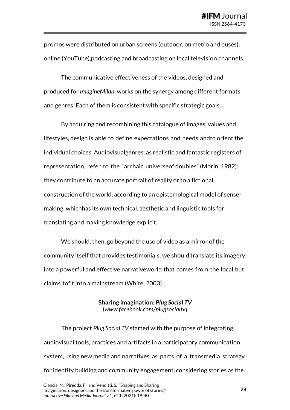promos were distributed on urban screens (outdoor, on metro and buses), online (YouTube),podcasting and broadcasting on local television channels.

The communicative effectiveness of the videos, designed and produced for *ImagineMilan*, works on the synergy among different formats and genres. Each of them is consistent with specific strategic goals.

By acquiring and recombining this catalogue of images, values and lifestyles, design is able to define expectations and needs andto orient the individual choices. Audiovisualgenres, as realistic and fantastic registers of representation, refer to the "archaic universeof doubles" (Morin, 1982): they contribute to an accurate portrait of reality or to a fictional construction of the world, according to an epistemological model of sensemaking, whichhas its own technical, aesthetic and linguistic tools for translating and making knowledge explicit.

We should, then, go beyond the use of video as a mirror of the community itself that provides testimonials: we should translate its imagery into a powerful and effective narrativeworld that comes from the local but claims tofit into a mainstream (White, 2003).

#### **Sharing imagination:** *Plug Social TV [www.facebook.com/plugsocialtv]*

The project *Plug Social TV* started with the purpose of integrating audiovisual tools, practices and artifacts in a participatory communication system, using new media and narratives as parts of a transmedia strategy for identity building and community engagement, considering stories as the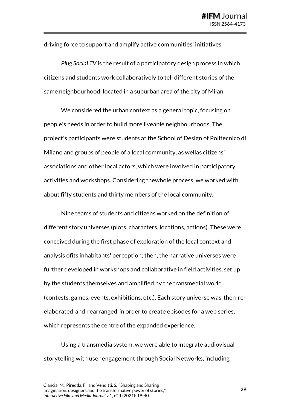driving force to support and amplify active communities' initiatives.

*Plug Social TV* is the result of a participatory design process in which citizens and students work collaboratively to tell different stories of the same neighbourhood, located in a suburban area of the city of Milan.

We considered the urban context as a general topic, focusing on people's needs in order to build more liveable neighbourhoods. The project's participants were students at the School of Design of Politecnico di Milano and groups of people of a local community, as wellas citizens' associations and other local actors, which were involved in participatory activities and workshops. Considering thewhole process, we worked with about fifty students and thirty members of the local community.

Nine teams of students and citizens worked on the definition of different story universes (plots, characters, locations, actions). These were conceived during the first phase of exploration of the local context and analysis ofits inhabitants' perception; then, the narrative universes were further developed in workshops and collaborative in field activities, set up by the students themselves and amplified by the transmedial world (contests, games, events, exhibitions, etc.). Each story universe was then reelaborated and rearranged in order to create episodes for a web series, which represents the centre of the expanded experience.

Using a transmedia system, we were able to integrate audiovisual storytelling with user engagement through Social Networks, including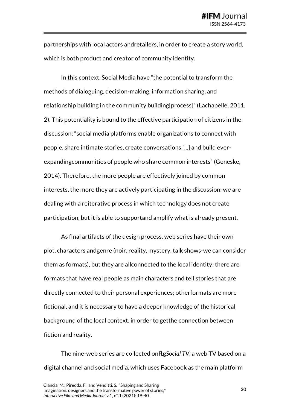partnerships with local actors andretailers, in order to create a story world, which is both product and creator of community identity.

In this context, Social Media have "the potential to transform the methods of dialoguing, decision-making, information sharing, and relationship building in the community building[process]" (Lachapelle, 2011, 2). This potentiality is bound to the effective participation of citizens in the discussion: "social media platforms enable organizations to connect with people, share intimate stories, create conversations [...] and build everexpandingcommunities of people who share common interests" (Geneske, 2014). Therefore, the more people are effectively joined by common interests, the more they are actively participating in the discussion: we are dealing with a reiterative process in which technology does not create participation, but it is able to supportand amplify what is already present.

As final artifacts of the design process, web series have their own plot, characters andgenre (noir, reality, mystery, talk shows-we can consider them as formats), but they are allconnected to the local identity: there are formats that have real people as main characters and tell stories that are directly connected to their personal experiences; otherformats are more fictional, and it is necessary to have a deeper knowledge of the historical background of the local context, in order to getthe connection between fiction and reality.

The nine-web series are collected on AgSocial TV, a web TV based on a digital channel and social media, which uses Facebook as the main platform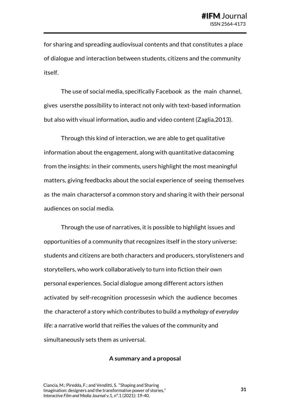for sharing and spreading audiovisual contents and that constitutes a place of dialogue and interaction between students, citizens and the community itself.

The use of social media, specifically Facebook as the main channel, gives usersthe possibility to interact not only with text-based information but also with visual information, audio and video content (Zaglia,2013).

Through this kind of interaction, we are able to get qualitative information about the engagement, along with quantitative datacoming from the insights: in their comments, users highlight the most meaningful matters, giving feedbacks about the social experience of seeing themselves as the main charactersof a common story and sharing it with their personal audiences on social media.

Through the use of narratives, it is possible to highlight issues and opportunities of a community that recognizes itself in the story universe: students and citizens are both characters and producers, storylisteners and storytellers, who work collaboratively to turn into fiction their own personal experiences. Social dialogue among different actors isthen activated by self-recognition processesin which the audience becomes the characterof a story which contributes to build a *mythology of everyday life*: a narrative world that reifies the values of the community and simultaneously sets them as universal.

#### **A summary and a proposal**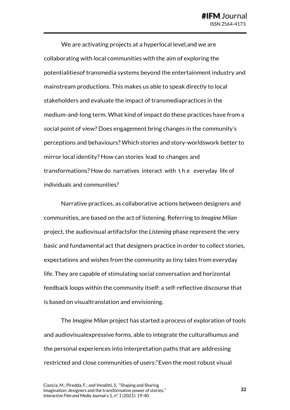We are activating projects at a hyperlocal level,and we are collaborating with local communities with the aim of exploring the potentialitiesof transmedia systems beyond the entertainment industry and mainstream productions. This makes us able to speak directly to local stakeholders and evaluate the impact of transmediapractices in the medium-and-long term. What kind of impact do these practices have from a social point of view? Does engagement bring changes in the community's perceptions and behaviours? Which stories and story-worldswork better to mirror local identity? How can stories lead to changes and transformations? How do narratives interact with t h e everyday life of individuals and communities?

Narrative practices, as collaborative actions between designers and communities, are based on the act of listening. Referring to *Imagine Milan*  project, the audiovisual artifactsfor the *Listening* phase represent the very basic and fundamental act that designers practice in order to collect stories, expectations and wishes from the community as tiny tales from everyday life. They are capable of stimulating social conversation and horizontal feedback loops within the community itself: a self-reflective discourse that is based on visualtranslation and envisioning.

The *Imagine Milan* project has started a process of exploration of tools and audiovisualexpressive forms, able to integrate the culturalhumus and the personal experiences into interpretation paths that are addressing restricted and close communities of users:"Even the most robust visual

**32**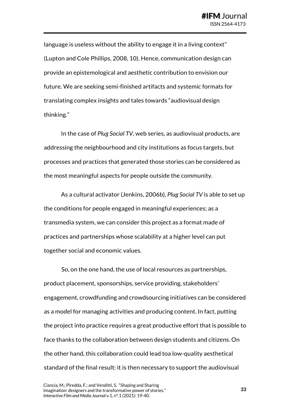language is useless without the ability to engage it in a living context" (Lupton and Cole Phillips, 2008, 10). Hence, communication design can provide an epistemological and aesthetic contribution to envision our future. We are seeking semi-finished artifacts and systemic formats for translating complex insights and tales towards "audiovisual design thinking."

In the case of *Plug Social TV*, web series, as audiovisual products, are addressing the neighbourhood and city institutions as focus targets, but processes and practices that generated those stories can be considered as the most meaningful aspects for people outside the community.

As a cultural activator (Jenkins, 2006b), *Plug Social TV* is able to set up the conditions for people engaged in meaningful experiences; as a transmedia system, we can consider this project as a format made of practices and partnerships whose scalability at a higher level can put together social and economic values.

So, on the one hand, the use of local resources as partnerships, product placement, sponsorships, service providing, stakeholders' engagement, crowdfunding and crowdsourcing initiatives can be considered as a model for managing activities and producing content. In fact, putting the project into practice requires a great productive effort that is possible to face thanks to the collaboration between design students and citizens. On the other hand, this collaboration could lead toa low-quality aesthetical standard of the final result: it is then necessary to support the audiovisual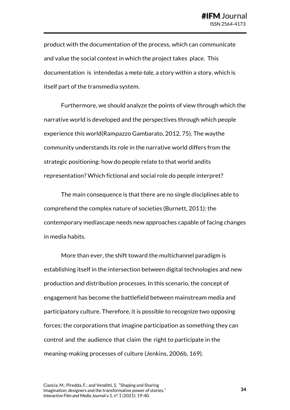product with the documentation of the process, which can communicate and value the social context in which the project takes place. This documentation is intendedas a *meta-tale*, a story within a story, which is itself part of the transmedia system.

Furthermore, we should analyze the points of view through which the narrative world is developed and the perspectives through which people experience this world(Rampazzo Gambarato, 2012, 75). The waythe community understands its role in the narrative world differs from the strategic positioning: how do people relate to that world andits representation? Which fictional and social role do people interpret?

The main consequence is that there are no single disciplines able to comprehend the complex nature of societies (Burnett, 2011): the contemporary mediascape needs new approaches capable of facing changes in media habits.

More than ever, the shift toward the multichannel paradigm is establishing itself in the intersection between digital technologies and new production and distribution processes. In this scenario, the concept of engagement has become the battlefield between mainstream media and participatory culture. Therefore, it is possible to recognize two opposing forces: the corporations that imagine participation as something they can control and the audience that claim the right to participate in the meaning-making processes of culture (Jenkins, 2006b, 169).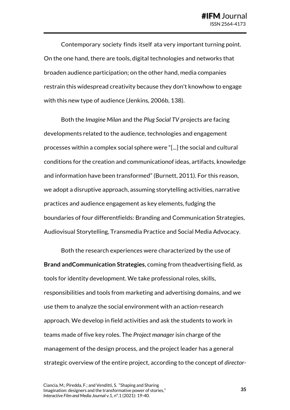Contemporary society finds itself ata very important turning point. On the one hand, there are tools, digital technologies and networks that broaden audience participation; on the other hand, media companies restrain this widespread creativity because they don't knowhow to engage with this new type of audience (Jenkins, 2006b, 138).

Both the *Imagine Milan* and the *Plug Social TV* projects are facing developments related to the audience, technologies and engagement processes within a complex social sphere were "[...] the social and cultural conditions for the creation and communicationof ideas, artifacts, knowledge and information have been transformed" (Burnett, 2011). For this reason, we adopt a disruptive approach, assuming storytelling activities, narrative practices and audience engagement as key elements, fudging the boundaries of four differentfields: Branding and Communication Strategies, Audiovisual Storytelling, Transmedia Practice and Social Media Advocacy.

Both the research experiences were characterized by the use of **Brand andCommunication Strategies**, coming from theadvertising field, as tools for identity development. We take professional roles, skills, responsibilities and tools from marketing and advertising domains, and we use them to analyze the social environment with an action-research approach. We develop in field activities and ask the students to work in teams made of five key roles. The *Project manager* isin charge of the management of the design process, and the project leader has a general strategic overview of the entire project, according to the concept of *director-*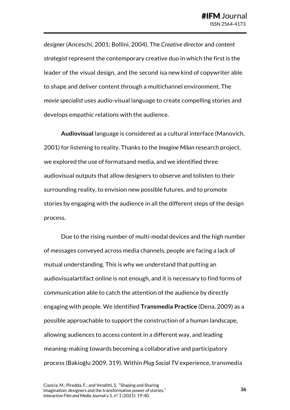*designer* (Anceschi, 2001; Bollini, 2004). The *Creative director* and *content strategist* represent the contemporary creative duo in which the first is the leader of the visual design, and the second isa new kind of copywriter able to shape and deliver content through a multichannel environment. The *movie specialist* uses audio-visual language to create compelling stories and develops empathic relations with the audience.

**Audiovisual** language is considered as a cultural interface (Manovich, 2001) for listening to reality. Thanks to the *Imagine Milan* research project, we explored the use of formatsand media, and we identified three audiovisual outputs that allow designers to observe and tolisten to their surrounding reality, to envision new possible futures, and to promote stories by engaging with the audience in all the different steps of the design process.

Due to the rising number of multi-modal devices and the high number of messages conveyed across media channels, people are facing a lack of mutual understanding. This is why we understand that putting an audiovisualartifact online is not enough, and it is necessary to find forms of communication able to catch the attention of the audience by directly engaging with people. We identified **Transmedia Practice** (Dena, 2009) as a possible approachable to support the construction of a human landscape, allowing audiences to access content in a different way, and leading meaning-making towards becoming a collaborative and participatory process (Bakioğlu 2009, 319). Within *Plug Social TV* experience, transmedia

**36**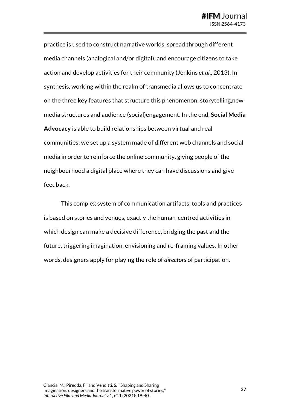practice is used to construct narrative worlds, spread through different media channels (analogical and/or digital), and encourage citizens to take action and develop activities for their community (Jenkins *et al*., 2013). In synthesis, working within the realm of transmedia allows us to concentrate on the three key features that structure this phenomenon: storytelling,new media structures and audience (social)engagement. In the end, **Social Media Advocacy** is able to build relationships between virtual and real communities: we set up a system made of different web channels and social media in order to reinforce the online community, giving people of the neighbourhood a digital place where they can have discussions and give feedback.

This complex system of communication artifacts, tools and practices is based on stories and venues, exactly the human-centred activities in which design can make a decisive difference, bridging the past and the future, triggering imagination, envisioning and re-framing values. In other words, designers apply for playing the role of *directors* of participation.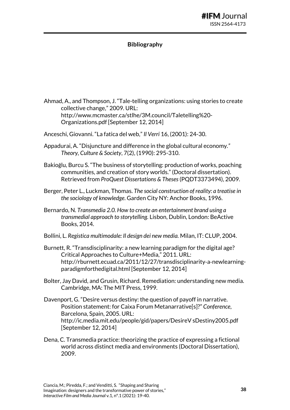#### **Bibliography**

- Ahmad, A., and Thompson, J. "Tale-telling organizations: using stories to create collective change," 2009. URL: http://www.mcmaster.ca/stlhe/3M.council/Taletelling%20- Organizations.pdf [September 12, 2014]
- Anceschi, Giovanni. "La fatica del web," *Il Verri* 16, (2001): 24-30.
- Appadurai, A. "Disjuncture and difference in the global cultural economy*." Theory, Culture & Society*, 7(2), (1990): 295-310.
- Bakioğlu, Burcu S. "The business of storytelling: production of works, poaching communities, and creation of story worlds." (Doctoral dissertation). Retrieved from *ProQuest Dissertations & Theses*(PQDT3373494), 2009.
- Berger, Peter L., Luckman, Thomas. *The social construction of reality: a treatise in the sociology of knowledge*. Garden City NY: Anchor Books, 1996.
- Bernardo, N. *Transmedia 2.0. How to create an entertainment brand using a transmedial approach to storytelling.* Lisbon, Dublin, London: BeActive Books, 2014.
- Bollini, L. *Registica multimodale: Il design dei new media.* Milan, IT: CLUP, 2004.
- Burnett, R. "Transdisciplinarity: a new learning paradigm for the digital age? Critical Approaches to Culture+Media," 2011. URL: http://rburnett.ecuad.ca/2011/12/27/transdisciplinarity-a-newlearningparadigmforthedigital.html [September 12, 2014]
- Bolter, Jay David, and Grusin, Richard. Remediation: understanding new media. Cambridge, MA: The MIT Press, 1999.
- Davenport, G. "Desire versus destiny: the question of payoff in narrative. Position statement: for Caixa Forum Metanarrative[s]?" *Conference*, Barcelona, Spain, 2005. URL: http://ic.media.mit.edu/people/gid/papers/DesireV sDestiny2005.pdf [September 12, 2014]
- Dena, C. Transmedia practice: theorizing the practice of expressing a fictional world across distinct media and environments (Doctoral Dissertation), 2009.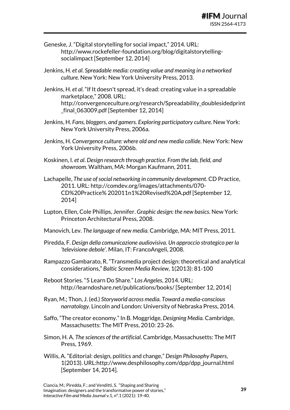- Geneske, J. "Digital storytelling for social impact," 2014. URL: http://www.rockefeller-foundation.org/blog/digitalstorytellingsocialimpact [September 12, 2014]
- Jenkins, H. *et al*. *Spreadable media: creating value and meaning in a networked culture*. New York: New York University Press, 2013.
- Jenkins, H. *et al*. "If It doesn't spread, it's dead: creating value in a spreadable marketplace," 2008. URL: http://convergenceculture.org/research/Spreadability\_doublesidedprint final 063009.pdf [September 12, 2014]
- Jenkins, H. *Fans, bloggers, and gamers. Exploring participatory culture.* New York: New York University Press, 2006a.
- Jenkins, H. *Convergence culture: where old and new media collide*. New York: New York University Press, 2006b.
- Koskinen, I. *et al*. *Design research through practice. From the lab, field, and showroom.* Waltham, MA: Morgan Kaufmann, 2011.
- Lachapelle, *The use of social networking in community development*. CD Practice, 2011. URL: http://comdev.org/images/attachments/070- CD%20Practice% 202011n1%20Revised%20A.pdf [September 12, 2014]
- Lupton, Ellen, Cole Phillips, Jennifer. *Graphic design: the new basics*. New York: Princeton Architectural Press, 2008.
- Manovich, Lev. *The language of new media.* Cambridge, MA: MIT Press, 2011.
- Piredda, F. *Design della comunicazione audiovisiva. Un approccio strategico per la 'televisione debole'*. Milan, IT: FrancoAngeli, 2008.
- Rampazzo Gambarato, R. "Transmedia project design: theoretical and analytical considerations," *Baltic Screen Media Review*, 1(2013): 81-100
- Reboot Stories. "5 Learn Do Share." *Los Angeles*, 2014. URL: http://learndoshare.net/publications/books/ [September 12, 2014]
- Ryan, M.; Thon, J. (ed.) *Storyworld across media. Toward a media-conscious narratology.* Lincoln and London: University of Nebraska Press, 2014.
- Saffo, "The creator economy." In B. Moggridge, *Designing Media.* Cambridge, Massachusetts: The MIT Press, 2010: 23-26.
- Simon, H. A. *The sciences of the artificial*. Cambridge, Massachusetts: The MIT Press, 1969.
- Willis, A. "Editorial: design, politics and change," *Design Philosophy Papers*, 1(2013). URL:http://www.desphilosophy.com/dpp/dpp\_journal.html [September 14, 2014].